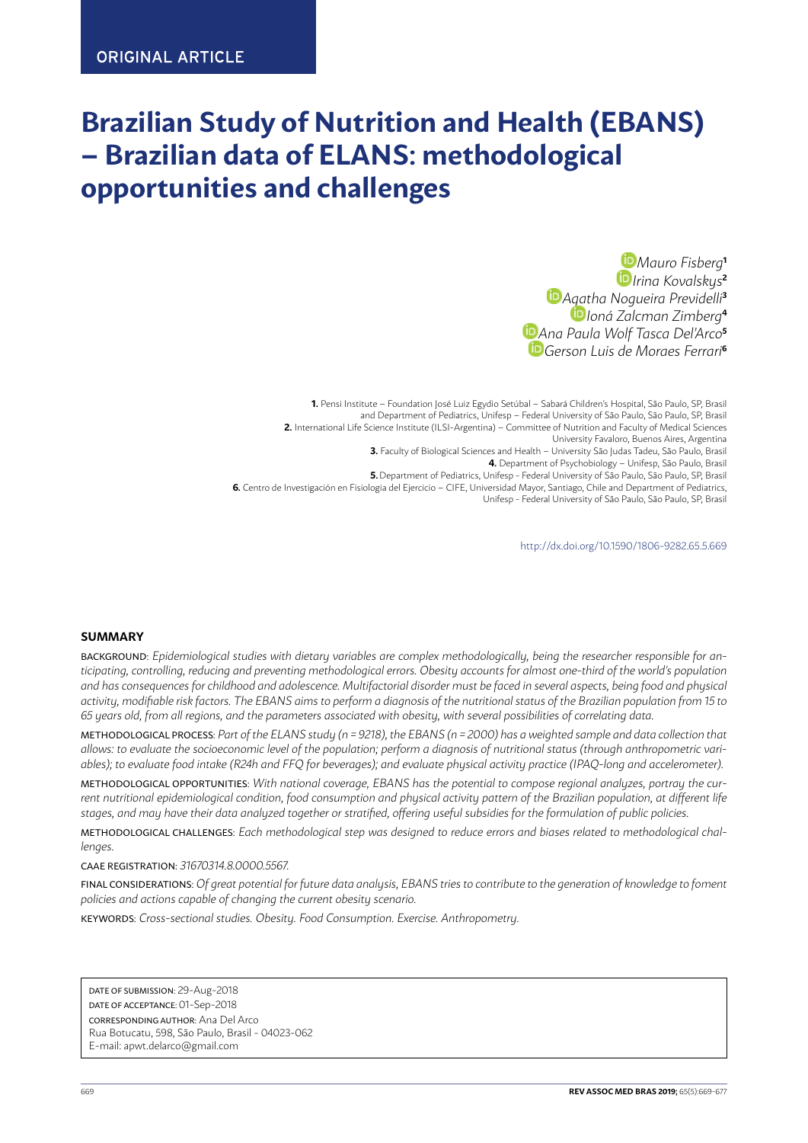# **Brazilian Study of Nutrition and Health (EBANS) – Brazilian data of ELANS: methodological opportunities and challenges**

*Mauro Fisberg***<sup>1</sup>** *Irina Kovalskys***<sup>2</sup>** *[A](http://orcid.org/0000-0003-0032-4323)[ga](http://orcid.org/0000-0002-3207-0076)tha Nogueira Previdelli***<sup>3</sup>** *Ioná Zalcman Zimberg***<sup>4</sup>** *[A](http://orcid.org/0000-0001-7666-9614)na Paula Wolf Tasca Del'Arco***<sup>5</sup>** *[G](https://orcid.org/0000-0003-3177-6576)erson Luis de Moraes Ferrari***<sup>6</sup>**

**1.** Pensi Institute – Foundation José Luiz Egydio Setúbal – Sabará Children's Hospital, São Paulo, SP, Brasil and Department of Pediatrics, Unifesp – Federal University of São Paulo, São Paulo, SP, Brasil **2.** International Life Science Institute (ILSI-Argentina) – Committee of Nutrition and Faculty of Medical Sciences University Favaloro, Buenos Aires, Argentina **3.** Faculty of Biological Sciences and Health – University São Judas Tadeu, São Paulo, Brasil **4.** Department of Psychobiology – Unifesp, São Paulo, Brasil **5.**Department of Pediatrics, Unifesp - Federal University of São Paulo, São Paulo, SP, Brasil **6.** Centro de Investigación en Fisiologia del Ejercicio – CIFE, Universidad Mayor, Santiago, Chile and Department of Pediatrics, Unifesp - Federal University of São Paulo, São Paulo, SP, Brasil

http://dx.doi.org/10.1590/1806-9282.65.5.669

#### **SUMMARY**

BACKGROUND: *Epidemiological studies with dietary variables are complex methodologically, being the researcher responsible for anticipating, controlling, reducing and preventing methodological errors. Obesity accounts for almost one-third of the world's population and has consequences for childhood and adolescence. Multifactorial disorder must be faced in several aspects, being food and physical activity, modifiable risk factors. The EBANS aims to perform a diagnosis of the nutritional status of the Brazilian population from 15 to 65 years old, from all regions, and the parameters associated with obesity, with several possibilities of correlating data.*

METHODOLOGICAL PROCESS: *Part of the ELANS study (n = 9218), the EBANS (n = 2000) has a weighted sample and data collection that allows: to evaluate the socioeconomic level of the population; perform a diagnosis of nutritional status (through anthropometric variables); to evaluate food intake (R24h and FFQ for beverages); and evaluate physical activity practice (IPAQ-long and accelerometer).*

METHODOLOGICAL OPPORTUNITIES: *With national coverage, EBANS has the potential to compose regional analyzes, portray the current nutritional epidemiological condition, food consumption and physical activity pattern of the Brazilian population, at diferent life stages, and may have their data analyzed together or stratified, ofering useful subsidies for the formulation of public policies.*

METHODOLOGICAL CHALLENGES: *Each methodological step was designed to reduce errors and biases related to methodological challenges.*

CAAE REGISTRATION: *31670314.8.0000.5567.*

FINAL CONSIDERATIONS: *Of great potential for future data analysis, EBANS tries to contribute to the generation of knowledge to foment policies and actions capable of changing the current obesity scenario.*

KEYWORDS: *Cross-sectional studies. Obesity. Food Consumption. Exercise. Anthropometry.*

DATE OF SUBMISSION: 29-Aug-2018 DATE OF ACCEPTANCE: 01-Sep-2018 CORRESPONDING AUTHOR: Ana Del Arco Rua Botucatu, 598, São Paulo, Brasil - 04023-062 E-mail: [apwt.delarco@gmail.com](mailto:apwt.delarco@gmail.com)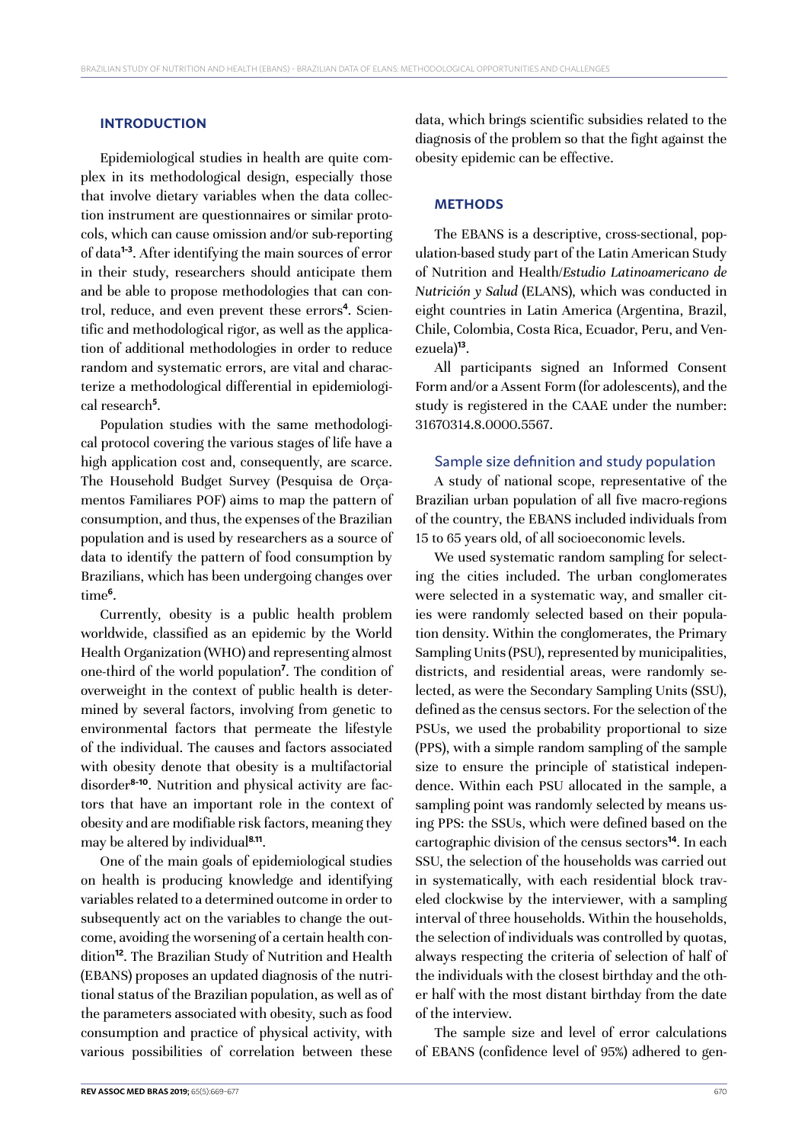## **INTRODUCTION**

Epidemiological studies in health are quite complex in its methodological design, especially those that involve dietary variables when the data collection instrument are questionnaires or similar protocols, which can cause omission and/or sub-reporting of data**1-3**. After identifying the main sources of error in their study, researchers should anticipate them and be able to propose methodologies that can control, reduce, and even prevent these errors**<sup>4</sup>** . Scientific and methodological rigor, as well as the application of additional methodologies in order to reduce random and systematic errors, are vital and characterize a methodological differential in epidemiological research**<sup>5</sup>** .

Population studies with the same methodological protocol covering the various stages of life have a high application cost and, consequently, are scarce. The Household Budget Survey (Pesquisa de Orçamentos Familiares POF) aims to map the pattern of consumption, and thus, the expenses of the Brazilian population and is used by researchers as a source of data to identify the pattern of food consumption by Brazilians, which has been undergoing changes over time**<sup>6</sup>** .

Currently, obesity is a public health problem worldwide, classified as an epidemic by the World Health Organization (WHO) and representing almost one-third of the world population**<sup>7</sup>** . The condition of overweight in the context of public health is determined by several factors, involving from genetic to environmental factors that permeate the lifestyle of the individual. The causes and factors associated with obesity denote that obesity is a multifactorial disorder**8-10**. Nutrition and physical activity are factors that have an important role in the context of obesity and are modifiable risk factors, meaning they may be altered by individual**8.11**.

One of the main goals of epidemiological studies on health is producing knowledge and identifying variables related to a determined outcome in order to subsequently act on the variables to change the outcome, avoiding the worsening of a certain health condition**<sup>12</sup>**. The Brazilian Study of Nutrition and Health (EBANS) proposes an updated diagnosis of the nutritional status of the Brazilian population, as well as of the parameters associated with obesity, such as food consumption and practice of physical activity, with various possibilities of correlation between these data, which brings scientific subsidies related to the diagnosis of the problem so that the fight against the obesity epidemic can be effective.

### **METHODS**

The EBANS is a descriptive, cross-sectional, population-based study part of the Latin American Study of Nutrition and Health/*Estudio Latinoamericano de Nutrición y Salud* (ELANS), which was conducted in eight countries in Latin America (Argentina, Brazil, Chile, Colombia, Costa Rica, Ecuador, Peru, and Venezuela)**<sup>13</sup>**.

All participants signed an Informed Consent Form and/or a Assent Form (for adolescents), and the study is registered in the CAAE under the number: 31670314.8.0000.5567.

#### Sample size definition and study population

A study of national scope, representative of the Brazilian urban population of all five macro-regions of the country, the EBANS included individuals from 15 to 65 years old, of all socioeconomic levels.

We used systematic random sampling for selecting the cities included. The urban conglomerates were selected in a systematic way, and smaller cities were randomly selected based on their population density. Within the conglomerates, the Primary Sampling Units (PSU), represented by municipalities, districts, and residential areas, were randomly selected, as were the Secondary Sampling Units (SSU), defined as the census sectors. For the selection of the PSUs, we used the probability proportional to size (PPS), with a simple random sampling of the sample size to ensure the principle of statistical independence. Within each PSU allocated in the sample, a sampling point was randomly selected by means using PPS: the SSUs, which were defined based on the cartographic division of the census sectors**<sup>14</sup>**. In each SSU, the selection of the households was carried out in systematically, with each residential block traveled clockwise by the interviewer, with a sampling interval of three households. Within the households, the selection of individuals was controlled by quotas, always respecting the criteria of selection of half of the individuals with the closest birthday and the other half with the most distant birthday from the date of the interview.

The sample size and level of error calculations of EBANS (confidence level of 95%) adhered to gen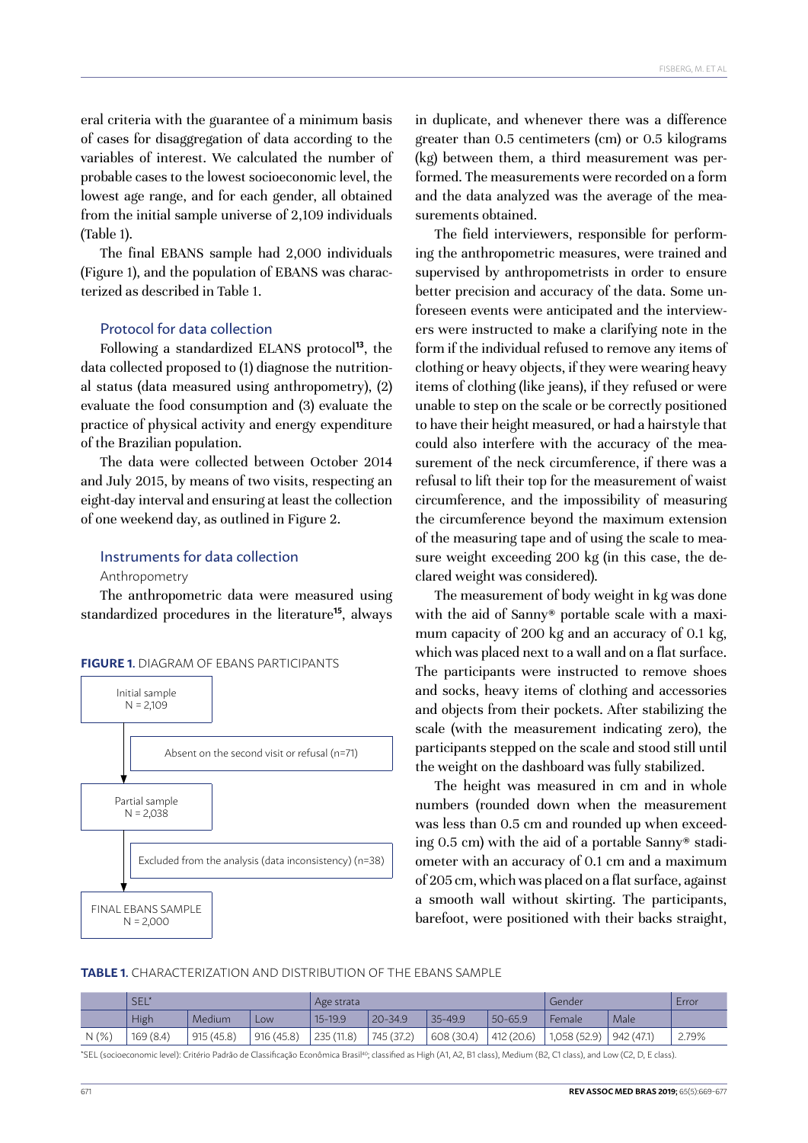eral criteria with the guarantee of a minimum basis of cases for disaggregation of data according to the variables of interest. We calculated the number of probable cases to the lowest socioeconomic level, the lowest age range, and for each gender, all obtained from the initial sample universe of 2,109 individuals (Table 1).

The final EBANS sample had 2,000 individuals (Figure 1), and the population of EBANS was characterized as described in Table 1.

## Protocol for data collection

Following a standardized ELANS protocol**<sup>13</sup>**, the data collected proposed to (1) diagnose the nutritional status (data measured using anthropometry), (2) evaluate the food consumption and (3) evaluate the practice of physical activity and energy expenditure of the Brazilian population.

The data were collected between October 2014 and July 2015, by means of two visits, respecting an eight-day interval and ensuring at least the collection of one weekend day, as outlined in Figure 2.

#### Instruments for data collection

Anthropometry

The anthropometric data were measured using standardized procedures in the literature**<sup>15</sup>**, always





in duplicate, and whenever there was a difference greater than 0.5 centimeters (cm) or 0.5 kilograms (kg) between them, a third measurement was performed. The measurements were recorded on a form and the data analyzed was the average of the measurements obtained.

The field interviewers, responsible for performing the anthropometric measures, were trained and supervised by anthropometrists in order to ensure better precision and accuracy of the data. Some unforeseen events were anticipated and the interviewers were instructed to make a clarifying note in the form if the individual refused to remove any items of clothing or heavy objects, if they were wearing heavy items of clothing (like jeans), if they refused or were unable to step on the scale or be correctly positioned to have their height measured, or had a hairstyle that could also interfere with the accuracy of the measurement of the neck circumference, if there was a refusal to lift their top for the measurement of waist circumference, and the impossibility of measuring the circumference beyond the maximum extension of the measuring tape and of using the scale to measure weight exceeding 200 kg (in this case, the declared weight was considered).

The measurement of body weight in kg was done with the aid of Sanny® portable scale with a maximum capacity of 200 kg and an accuracy of 0.1 kg, which was placed next to a wall and on a flat surface. The participants were instructed to remove shoes and socks, heavy items of clothing and accessories and objects from their pockets. After stabilizing the scale (with the measurement indicating zero), the participants stepped on the scale and stood still until the weight on the dashboard was fully stabilized.

The height was measured in cm and in whole numbers (rounded down when the measurement was less than 0.5 cm and rounded up when exceeding 0.5 cm) with the aid of a portable Sanny® stadiometer with an accuracy of 0.1 cm and a maximum of 205 cm, which was placed on a flat surface, against a smooth wall without skirting. The participants, barefoot, were positioned with their backs straight,

**TABLE 1.** CHARACTERIZATION AND DISTRIBUTION OF THE EBANS SAMPLE

|         | SEL*     |           |           | Age strata  |             |             |             | Gender       |            | Error |
|---------|----------|-----------|-----------|-------------|-------------|-------------|-------------|--------------|------------|-------|
|         | High     | Medium    | LOW       | $15 - 19.9$ | $20 - 34.9$ | $35 - 49.9$ | $50 - 65.9$ | Female       | Male       |       |
| $N(\%)$ | 169(8.4) | 915(45.8) | 916(45.8) | 235(11.8)   | 745 (37.2)  | 608 (30.4)  | 412 (20.6)  | 1,058 (52.9) | 942 (47.1) | 2.79% |

\*SEL (socioeconomic level): Critério Padrão de Classificação Econômica Brasil<sup>40</sup>; classified as High (A1, A2, B1 class), Medium (B2, C1 class), and Low (C2, D, E class)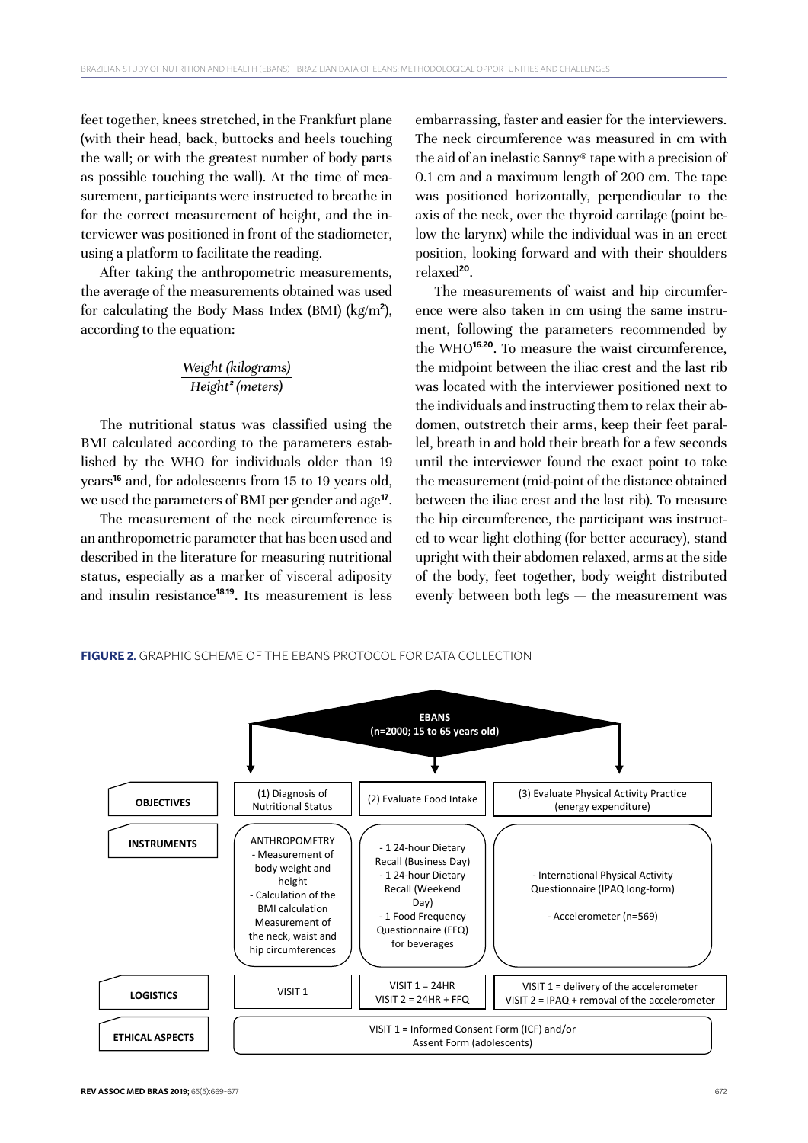feet together, knees stretched, in the Frankfurt plane (with their head, back, buttocks and heels touching the wall; or with the greatest number of body parts as possible touching the wall). At the time of measurement, participants were instructed to breathe in for the correct measurement of height, and the interviewer was positioned in front of the stadiometer, using a platform to facilitate the reading.

After taking the anthropometric measurements, the average of the measurements obtained was used for calculating the Body Mass Index (BMI) (kg/m**<sup>2</sup>** ), according to the equation:

# *Weight (kilograms) Height² (meters)*

The nutritional status was classified using the BMI calculated according to the parameters established by the WHO for individuals older than 19 years**<sup>16</sup>** and, for adolescents from 15 to 19 years old, we used the parameters of BMI per gender and age**<sup>17</sup>**.

The measurement of the neck circumference is an anthropometric parameter that has been used and described in the literature for measuring nutritional status, especially as a marker of visceral adiposity and insulin resistance**18.19**. Its measurement is less embarrassing, faster and easier for the interviewers. The neck circumference was measured in cm with the aid of an inelastic Sanny® tape with a precision of 0.1 cm and a maximum length of 200 cm. The tape was positioned horizontally, perpendicular to the axis of the neck, over the thyroid cartilage (point below the larynx) while the individual was in an erect position, looking forward and with their shoulders relaxed**<sup>20</sup>**.

The measurements of waist and hip circumference were also taken in cm using the same instrument, following the parameters recommended by the WHO**16.20**. To measure the waist circumference, the midpoint between the iliac crest and the last rib was located with the interviewer positioned next to the individuals and instructing them to relax their abdomen, outstretch their arms, keep their feet parallel, breath in and hold their breath for a few seconds until the interviewer found the exact point to take the measurement (mid-point of the distance obtained between the iliac crest and the last rib). To measure the hip circumference, the participant was instructed to wear light clothing (for better accuracy), stand upright with their abdomen relaxed, arms at the side of the body, feet together, body weight distributed evenly between both legs — the measurement was

**FIGURE 2.** GRAPHIC SCHEME OF THE EBANS PROTOCOL FOR DATA COLLECTION

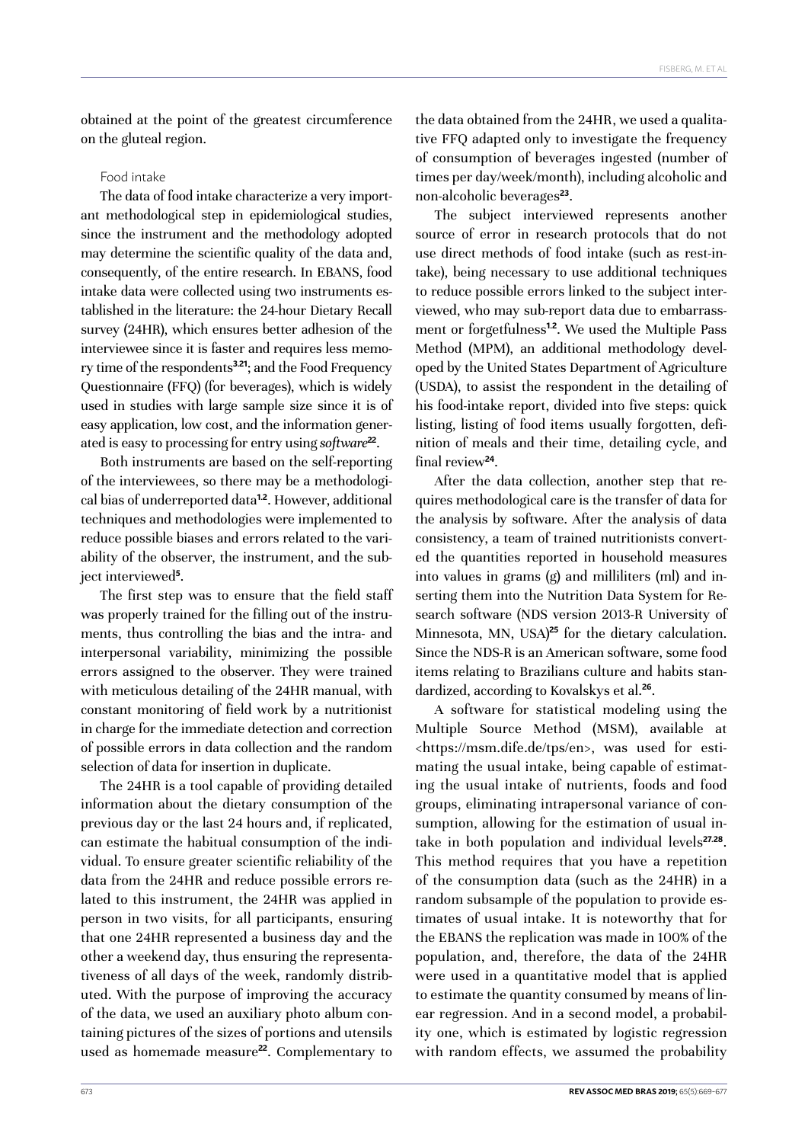obtained at the point of the greatest circumference on the gluteal region.

#### Food intake

The data of food intake characterize a very important methodological step in epidemiological studies, since the instrument and the methodology adopted may determine the scientific quality of the data and, consequently, of the entire research. In EBANS, food intake data were collected using two instruments established in the literature: the 24-hour Dietary Recall survey (24HR), which ensures better adhesion of the interviewee since it is faster and requires less memory time of the respondents**3.21**; and the Food Frequency Questionnaire (FFQ) (for beverages), which is widely used in studies with large sample size since it is of easy application, low cost, and the information generated is easy to processing for entry using *software***<sup>22</sup>**.

Both instruments are based on the self-reporting of the interviewees, so there may be a methodological bias of underreported data**1.2**. However, additional techniques and methodologies were implemented to reduce possible biases and errors related to the variability of the observer, the instrument, and the subject interviewed**<sup>5</sup>** .

The first step was to ensure that the field staff was properly trained for the filling out of the instruments, thus controlling the bias and the intra- and interpersonal variability, minimizing the possible errors assigned to the observer. They were trained with meticulous detailing of the 24HR manual, with constant monitoring of field work by a nutritionist in charge for the immediate detection and correction of possible errors in data collection and the random selection of data for insertion in duplicate.

The 24HR is a tool capable of providing detailed information about the dietary consumption of the previous day or the last 24 hours and, if replicated, can estimate the habitual consumption of the individual. To ensure greater scientific reliability of the data from the 24HR and reduce possible errors related to this instrument, the 24HR was applied in person in two visits, for all participants, ensuring that one 24HR represented a business day and the other a weekend day, thus ensuring the representativeness of all days of the week, randomly distributed. With the purpose of improving the accuracy of the data, we used an auxiliary photo album containing pictures of the sizes of portions and utensils used as homemade measure**<sup>22</sup>**. Complementary to the data obtained from the 24HR, we used a qualitative FFQ adapted only to investigate the frequency of consumption of beverages ingested (number of times per day/week/month), including alcoholic and non-alcoholic beverages**<sup>23</sup>**.

The subject interviewed represents another source of error in research protocols that do not use direct methods of food intake (such as rest-intake), being necessary to use additional techniques to reduce possible errors linked to the subject interviewed, who may sub-report data due to embarrassment or forgetfulness**1.2**. We used the Multiple Pass Method (MPM), an additional methodology developed by the United States Department of Agriculture (USDA), to assist the respondent in the detailing of his food-intake report, divided into five steps: quick listing, listing of food items usually forgotten, definition of meals and their time, detailing cycle, and final review**<sup>24</sup>**.

After the data collection, another step that requires methodological care is the transfer of data for the analysis by software. After the analysis of data consistency, a team of trained nutritionists converted the quantities reported in household measures into values in grams (g) and milliliters (ml) and inserting them into the Nutrition Data System for Research software (NDS version 2013-R University of Minnesota, MN, USA)**<sup>25</sup>** for the dietary calculation. Since the NDS-R is an American software, some food items relating to Brazilians culture and habits standardized, according to Kovalskys et al.**<sup>26</sup>**.

A software for statistical modeling using the Multiple Source Method (MSM), available at <https://msm.dife.de/tps/en>, was used for estimating the usual intake, being capable of estimating the usual intake of nutrients, foods and food groups, eliminating intrapersonal variance of consumption, allowing for the estimation of usual intake in both population and individual levels**27.28**. This method requires that you have a repetition of the consumption data (such as the 24HR) in a random subsample of the population to provide estimates of usual intake. It is noteworthy that for the EBANS the replication was made in 100% of the population, and, therefore, the data of the 24HR were used in a quantitative model that is applied to estimate the quantity consumed by means of linear regression. And in a second model, a probability one, which is estimated by logistic regression with random effects, we assumed the probability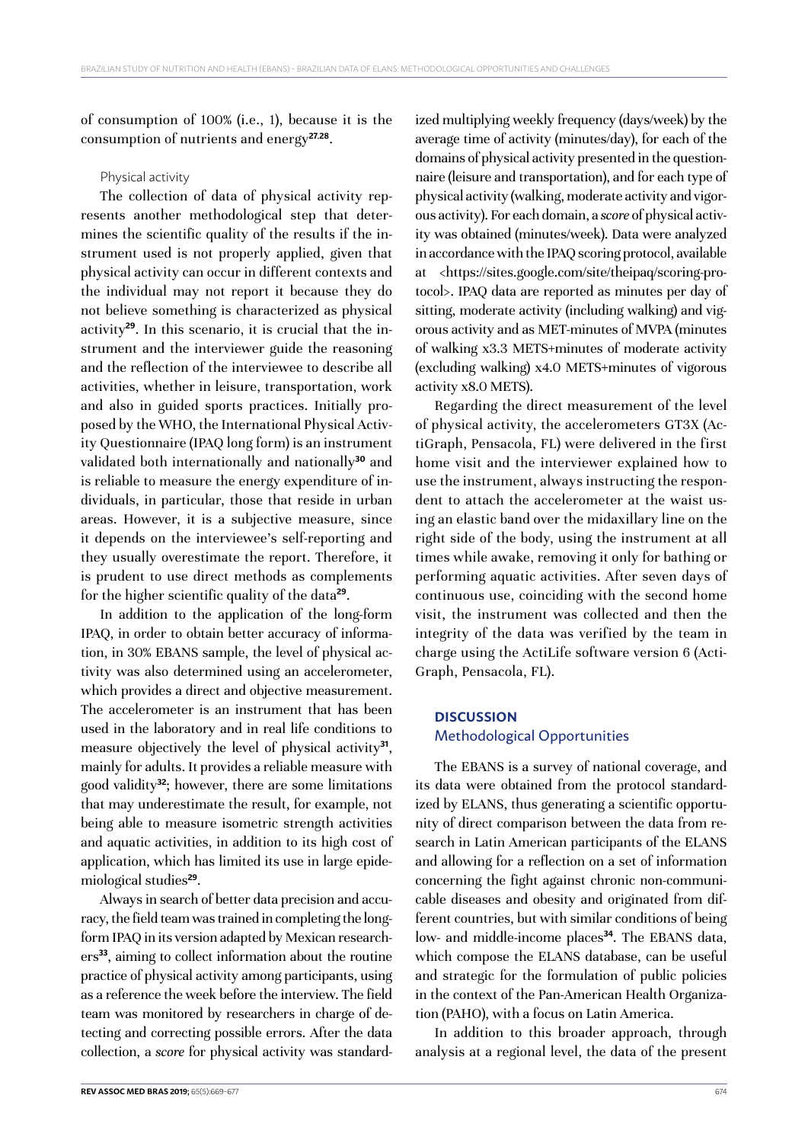of consumption of 100% (i.e., 1), because it is the consumption of nutrients and energy**27.28**.

#### Physical activity

The collection of data of physical activity represents another methodological step that determines the scientific quality of the results if the instrument used is not properly applied, given that physical activity can occur in different contexts and the individual may not report it because they do not believe something is characterized as physical activity**29**. In this scenario, it is crucial that the instrument and the interviewer guide the reasoning and the reflection of the interviewee to describe all activities, whether in leisure, transportation, work and also in guided sports practices. Initially proposed by the WHO, the International Physical Activity Questionnaire (IPAQ long form) is an instrument validated both internationally and nationally**<sup>30</sup>** and is reliable to measure the energy expenditure of individuals, in particular, those that reside in urban areas. However, it is a subjective measure, since it depends on the interviewee's self-reporting and they usually overestimate the report. Therefore, it is prudent to use direct methods as complements for the higher scientific quality of the data**<sup>29</sup>**.

In addition to the application of the long-form IPAQ, in order to obtain better accuracy of information, in 30% EBANS sample, the level of physical activity was also determined using an accelerometer, which provides a direct and objective measurement. The accelerometer is an instrument that has been used in the laboratory and in real life conditions to measure objectively the level of physical activity**<sup>31</sup>**, mainly for adults. It provides a reliable measure with good validity**<sup>32</sup>**; however, there are some limitations that may underestimate the result, for example, not being able to measure isometric strength activities and aquatic activities, in addition to its high cost of application, which has limited its use in large epidemiological studies**<sup>29</sup>**.

Always in search of better data precision and accuracy, the field team was trained in completing the longform IPAQ in its version adapted by Mexican researchers**<sup>33</sup>**, aiming to collect information about the routine practice of physical activity among participants, using as a reference the week before the interview. The field team was monitored by researchers in charge of detecting and correcting possible errors. After the data collection, a *score* for physical activity was standardized multiplying weekly frequency (days/week) by the average time of activity (minutes/day), for each of the domains of physical activity presented in the questionnaire (leisure and transportation), and for each type of physical activity (walking, moderate activity and vigorous activity). For each domain, a *score* of physical activity was obtained (minutes/week). Data were analyzed in accordance with the IPAQ scoring protocol, available at <https://sites.google.com/site/theipaq/scoring-protocol>. IPAQ data are reported as minutes per day of sitting, moderate activity (including walking) and vigorous activity and as MET-minutes of MVPA (minutes of walking x3.3 METS+minutes of moderate activity (excluding walking) x4.0 METS+minutes of vigorous activity x8.0 METS).

Regarding the direct measurement of the level of physical activity, the accelerometers GT3X (ActiGraph, Pensacola, FL) were delivered in the first home visit and the interviewer explained how to use the instrument, always instructing the respondent to attach the accelerometer at the waist using an elastic band over the midaxillary line on the right side of the body, using the instrument at all times while awake, removing it only for bathing or performing aquatic activities. After seven days of continuous use, coinciding with the second home visit, the instrument was collected and then the integrity of the data was verified by the team in charge using the ActiLife software version 6 (Acti-Graph, Pensacola, FL).

# **DISCUSSION** Methodological Opportunities

The EBANS is a survey of national coverage, and its data were obtained from the protocol standardized by ELANS, thus generating a scientific opportunity of direct comparison between the data from research in Latin American participants of the ELANS and allowing for a reflection on a set of information concerning the fight against chronic non-communicable diseases and obesity and originated from different countries, but with similar conditions of being low- and middle-income places**<sup>34</sup>**. The EBANS data, which compose the ELANS database, can be useful and strategic for the formulation of public policies in the context of the Pan-American Health Organization (PAHO), with a focus on Latin America.

In addition to this broader approach, through analysis at a regional level, the data of the present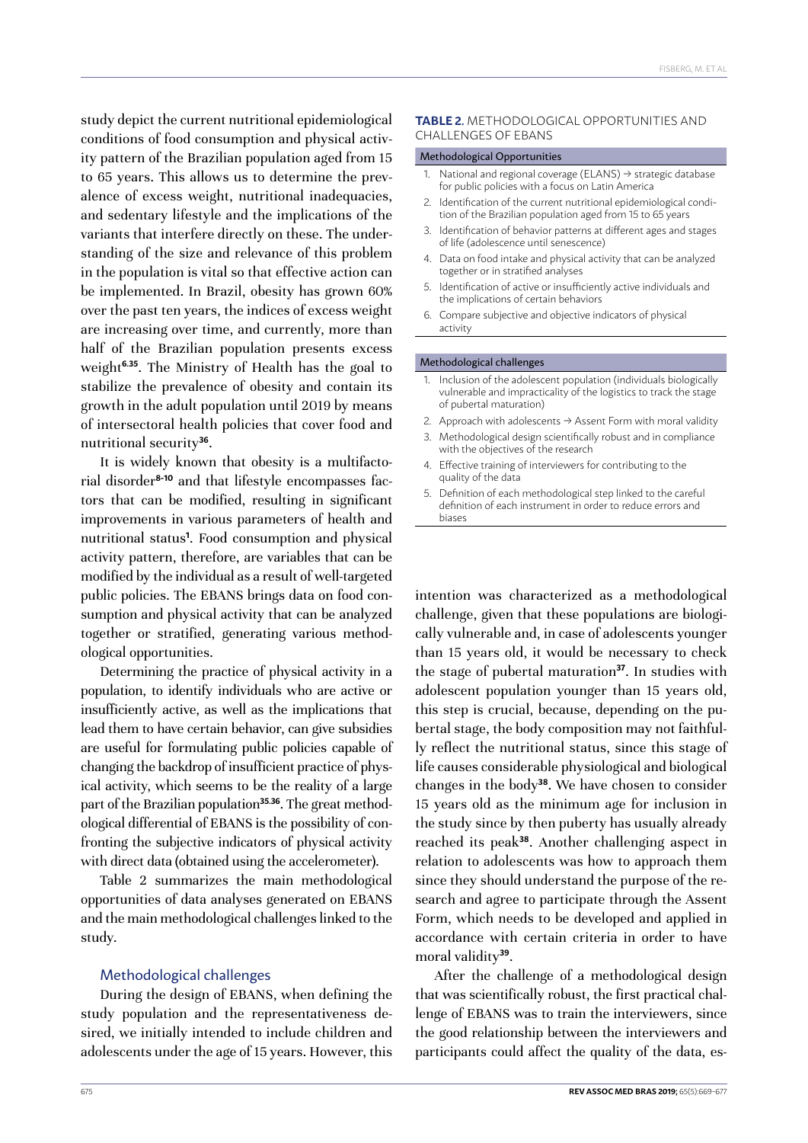study depict the current nutritional epidemiological conditions of food consumption and physical activity pattern of the Brazilian population aged from 15 to 65 years. This allows us to determine the prevalence of excess weight, nutritional inadequacies, and sedentary lifestyle and the implications of the variants that interfere directly on these. The understanding of the size and relevance of this problem in the population is vital so that effective action can be implemented. In Brazil, obesity has grown 60% over the past ten years, the indices of excess weight are increasing over time, and currently, more than half of the Brazilian population presents excess weight**6.35**. The Ministry of Health has the goal to stabilize the prevalence of obesity and contain its growth in the adult population until 2019 by means of intersectoral health policies that cover food and nutritional security**<sup>36</sup>**.

It is widely known that obesity is a multifactorial disorder**8-10** and that lifestyle encompasses factors that can be modified, resulting in significant improvements in various parameters of health and nutritional status**<sup>1</sup>** . Food consumption and physical activity pattern, therefore, are variables that can be modified by the individual as a result of well-targeted public policies. The EBANS brings data on food consumption and physical activity that can be analyzed together or stratified, generating various methodological opportunities.

Determining the practice of physical activity in a population, to identify individuals who are active or insufficiently active, as well as the implications that lead them to have certain behavior, can give subsidies are useful for formulating public policies capable of changing the backdrop of insufficient practice of physical activity, which seems to be the reality of a large part of the Brazilian population**35.36**. The great methodological differential of EBANS is the possibility of confronting the subjective indicators of physical activity with direct data (obtained using the accelerometer).

Table 2 summarizes the main methodological opportunities of data analyses generated on EBANS and the main methodological challenges linked to the study.

# Methodological challenges

During the design of EBANS, when defining the study population and the representativeness desired, we initially intended to include children and adolescents under the age of 15 years. However, this

#### Methodological challenges

activity

CHALLENGES OF EBANS Methodological Opportunities

1. Inclusion of the adolescent population (individuals biologically vulnerable and impracticality of the logistics to track the stage of pubertal maturation)

**TABLE 2.** METHODOLOGICAL OPPORTUNITIES AND

for public policies with a focus on Latin America

of life (adolescence until senescence)

the implications of certain behaviors

together or in stratified analyses

National and regional coverage (ELANS) → strategic database

4. Data on food intake and physical activity that can be analyzed

5. Identification of active or insufficiently active individuals and

6. Compare subjective and objective indicators of physical

2. Identification of the current nutritional epidemiological condition of the Brazilian population aged from 15 to 65 years 3. Identification of behavior patterns at diferent ages and stages

- 2. Approach with adolescents  $\rightarrow$  Assent Form with moral validity
- 3. Methodological design scientifically robust and in compliance with the objectives of the research
- 4. Efective training of interviewers for contributing to the quality of the data
- 5. Definition of each methodological step linked to the careful definition of each instrument in order to reduce errors and biases

intention was characterized as a methodological challenge, given that these populations are biologically vulnerable and, in case of adolescents younger than 15 years old, it would be necessary to check the stage of pubertal maturation**<sup>37</sup>**. In studies with adolescent population younger than 15 years old, this step is crucial, because, depending on the pubertal stage, the body composition may not faithfully reflect the nutritional status, since this stage of life causes considerable physiological and biological changes in the body**<sup>38</sup>**. We have chosen to consider 15 years old as the minimum age for inclusion in the study since by then puberty has usually already reached its peak**<sup>38</sup>**. Another challenging aspect in relation to adolescents was how to approach them since they should understand the purpose of the research and agree to participate through the Assent Form, which needs to be developed and applied in accordance with certain criteria in order to have moral validity**<sup>39</sup>**.

After the challenge of a methodological design that was scientifically robust, the first practical challenge of EBANS was to train the interviewers, since the good relationship between the interviewers and participants could affect the quality of the data, es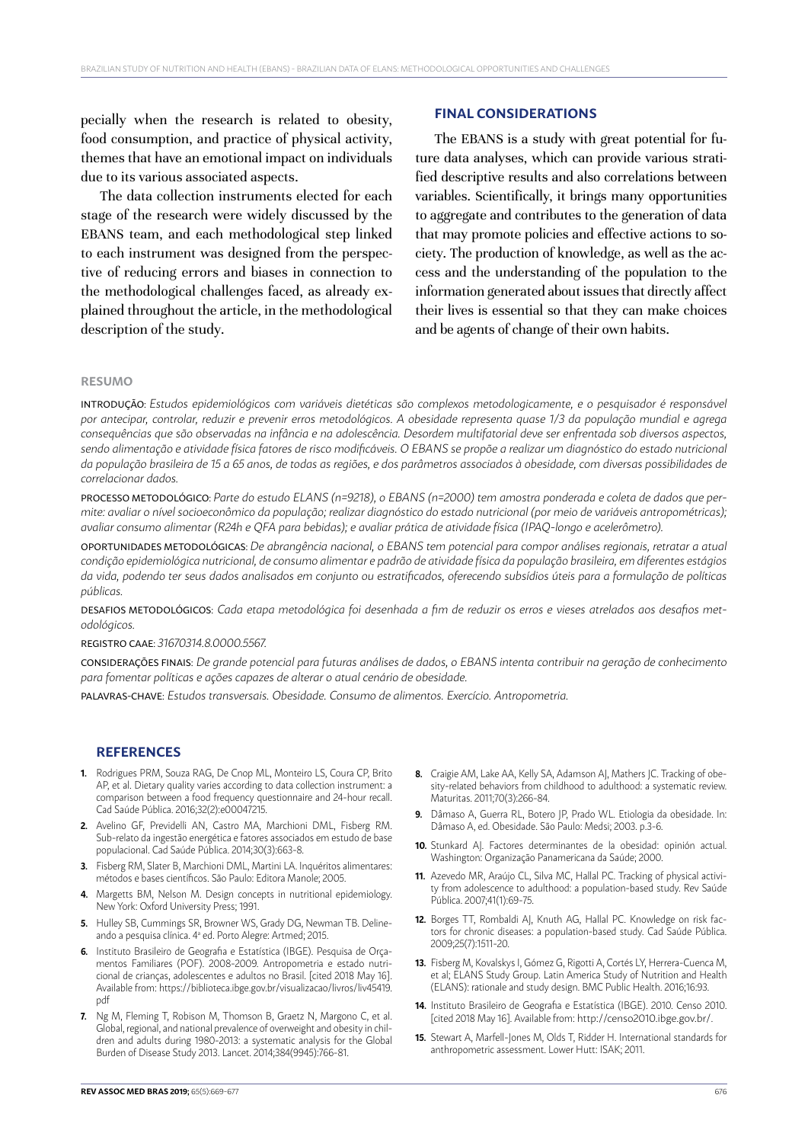pecially when the research is related to obesity, food consumption, and practice of physical activity, themes that have an emotional impact on individuals due to its various associated aspects.

The data collection instruments elected for each stage of the research were widely discussed by the EBANS team, and each methodological step linked to each instrument was designed from the perspective of reducing errors and biases in connection to the methodological challenges faced, as already explained throughout the article, in the methodological description of the study.

#### **FINAL CONSIDERATIONS**

The EBANS is a study with great potential for future data analyses, which can provide various stratified descriptive results and also correlations between variables. Scientifically, it brings many opportunities to aggregate and contributes to the generation of data that may promote policies and effective actions to society. The production of knowledge, as well as the access and the understanding of the population to the information generated about issues that directly affect their lives is essential so that they can make choices and be agents of change of their own habits.

#### **RESUMO**

INTRODUÇÃO: *Estudos epidemiológicos com variáveis dietéticas são complexos metodologicamente, e o pesquisador é responsável por antecipar, controlar, reduzir e prevenir erros metodológicos. A obesidade representa quase 1/3 da população mundial e agrega consequências que são observadas na infância e na adolescência. Desordem multifatorial deve ser enfrentada sob diversos aspectos, sendo alimentação e atividade física fatores de risco modificáveis. O EBANS se propõe a realizar um diagnóstico do estado nutricional da população brasileira de 15 a 65 anos, de todas as regiões, e dos parâmetros associados à obesidade, com diversas possibilidades de correlacionar dados.*

PROCESSO METODOLÓGICO: *Parte do estudo ELANS (n=9218), o EBANS (n=2000) tem amostra ponderada e coleta de dados que permite: avaliar o nível socioeconômico da população; realizar diagnóstico do estado nutricional (por meio de variáveis antropométricas); avaliar consumo alimentar (R24h e QFA para bebidas); e avaliar prática de atividade física (IPAQ-longo e acelerômetro).*

OPORTUNIDADES METODOLÓGICAS: *De abrangência nacional, o EBANS tem potencial para compor análises regionais, retratar a atual condição epidemiológica nutricional, de consumo alimentar e padrão de atividade física da população brasileira, em diferentes estágios da vida, podendo ter seus dados analisados em conjunto ou estratificados, oferecendo subsídios úteis para a formulação de políticas públicas.*

DESAFIOS METODOLÓGICOS: *Cada etapa metodológica foi desenhada a fim de reduzir os erros e vieses atrelados aos desafios metodológicos.*

REGISTRO CAAE: *31670314.8.0000.5567.*

CONSIDERAÇÕES FINAIS: *De grande potencial para futuras análises de dados, o EBANS intenta contribuir na geração de conhecimento para fomentar políticas e ações capazes de alterar o atual cenário de obesidade.*

PALAVRAS-CHAVE: *Estudos transversais. Obesidade. Consumo de alimentos. Exercício. Antropometria.*

#### **REFERENCES**

- **1.** Rodrigues PRM, Souza RAG, De Cnop ML, Monteiro LS, Coura CP, Brito AP, et al. Dietary quality varies according to data collection instrument: a comparison between a food frequency questionnaire and 24-hour recall. Cad Saúde Pública. 2016;32(2):e00047215.
- **2.** Avelino GF, Previdelli AN, Castro MA, Marchioni DML, Fisberg RM. Sub-relato da ingestão energética e fatores associados em estudo de base populacional. Cad Saúde Pública. 2014;30(3):663-8.
- **3.** Fisberg RM, Slater B, Marchioni DML, Martini LA. Inquéritos alimentares: métodos e bases científicos. São Paulo: Editora Manole; 2005.
- **4.** Margetts BM, Nelson M. Design concepts in nutritional epidemiology. New York: Oxford University Press; 1991.
- **5.** Hulley SB, Cummings SR, Browner WS, Grady DG, Newman TB. Delineando a pesquisa clínica. 4<sup>ª</sup> ed. Porto Alegre: Artmed; 2015.
- **6.** Instituto Brasileiro de Geografia e Estatística (IBGE). Pesquisa de Orçamentos Familiares (POF). 2008-2009. Antropometria e estado nutricional de crianças, adolescentes e adultos no Brasil. [cited 2018 May 16]. Available from: https://biblioteca.ibge.gov.br/visualizacao/livros/liv45419. pdf
- **7.** Ng M, Fleming T, Robison M, Thomson B, Graetz N, Margono C, et al. Global, regional, and national prevalence of overweight and obesity in children and adults during 1980-2013: a systematic analysis for the Global Burden of Disease Study 2013. Lancet. 2014;384(9945):766-81.
- **8.** Craigie AM, Lake AA, Kelly SA, Adamson AJ, Mathers JC. Tracking of obesity-related behaviors from childhood to adulthood: a systematic review. Maturitas. 2011;70(3):266-84.
- **9.** Dâmaso A, Guerra RL, Botero JP, Prado WL. Etiologia da obesidade. In: Dâmaso A, ed. Obesidade. São Paulo: Medsi; 2003. p.3-6.
- **10.** Stunkard AJ. Factores determinantes de la obesidad: opinión actual. Washington: Organização Panamericana da Saúde; 2000.
- **11.** Azevedo MR, Araújo CL, Silva MC, Hallal PC. Tracking of physical activity from adolescence to adulthood: a population-based study. Rev Saúde Pública. 2007;41(1):69-75.
- **12.** Borges TT, Rombaldi AJ, Knuth AG, Hallal PC. Knowledge on risk factors for chronic diseases: a population-based study. Cad Saúde Pública. 2009;25(7):1511-20.
- **13.** Fisberg M, Kovalskys I, Gómez G, Rigotti A, Cortés LY, Herrera-Cuenca M, et al; ELANS Study Group. Latin America Study of Nutrition and Health (ELANS): rationale and study design. BMC Public Health. 2016;16:93.
- **14.** Instituto Brasileiro de Geografia e Estatística (IBGE). 2010. Censo 2010. [cited 2018 May 16]. Available from: [http://censo2010.ibge.gov.br/.](http://censo2010.ibge.gov.br/)
- **15.** Stewart A, Marfell-Jones M, Olds T, Ridder H. International standards for anthropometric assessment. Lower Hutt: ISAK; 2011.